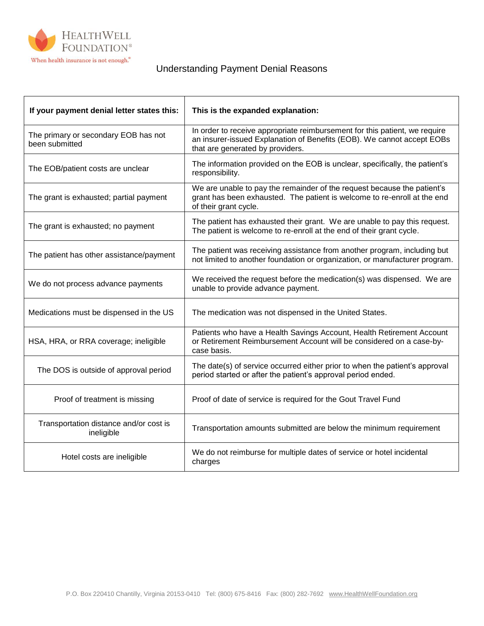

## Understanding Payment Denial Reasons

| If your payment denial letter states this:             | This is the expanded explanation:                                                                                                                                                        |
|--------------------------------------------------------|------------------------------------------------------------------------------------------------------------------------------------------------------------------------------------------|
| The primary or secondary EOB has not<br>been submitted | In order to receive appropriate reimbursement for this patient, we require<br>an insurer-issued Explanation of Benefits (EOB). We cannot accept EOBs<br>that are generated by providers. |
| The EOB/patient costs are unclear                      | The information provided on the EOB is unclear, specifically, the patient's<br>responsibility.                                                                                           |
| The grant is exhausted; partial payment                | We are unable to pay the remainder of the request because the patient's<br>grant has been exhausted. The patient is welcome to re-enroll at the end<br>of their grant cycle.             |
| The grant is exhausted; no payment                     | The patient has exhausted their grant. We are unable to pay this request.<br>The patient is welcome to re-enroll at the end of their grant cycle.                                        |
| The patient has other assistance/payment               | The patient was receiving assistance from another program, including but<br>not limited to another foundation or organization, or manufacturer program.                                  |
| We do not process advance payments                     | We received the request before the medication(s) was dispensed. We are<br>unable to provide advance payment.                                                                             |
| Medications must be dispensed in the US                | The medication was not dispensed in the United States.                                                                                                                                   |
| HSA, HRA, or RRA coverage; ineligible                  | Patients who have a Health Savings Account, Health Retirement Account<br>or Retirement Reimbursement Account will be considered on a case-by-<br>case basis.                             |
| The DOS is outside of approval period                  | The date(s) of service occurred either prior to when the patient's approval<br>period started or after the patient's approval period ended.                                              |
| Proof of treatment is missing                          | Proof of date of service is required for the Gout Travel Fund                                                                                                                            |
| Transportation distance and/or cost is<br>ineligible   | Transportation amounts submitted are below the minimum requirement                                                                                                                       |
| Hotel costs are ineligible                             | We do not reimburse for multiple dates of service or hotel incidental<br>charges                                                                                                         |